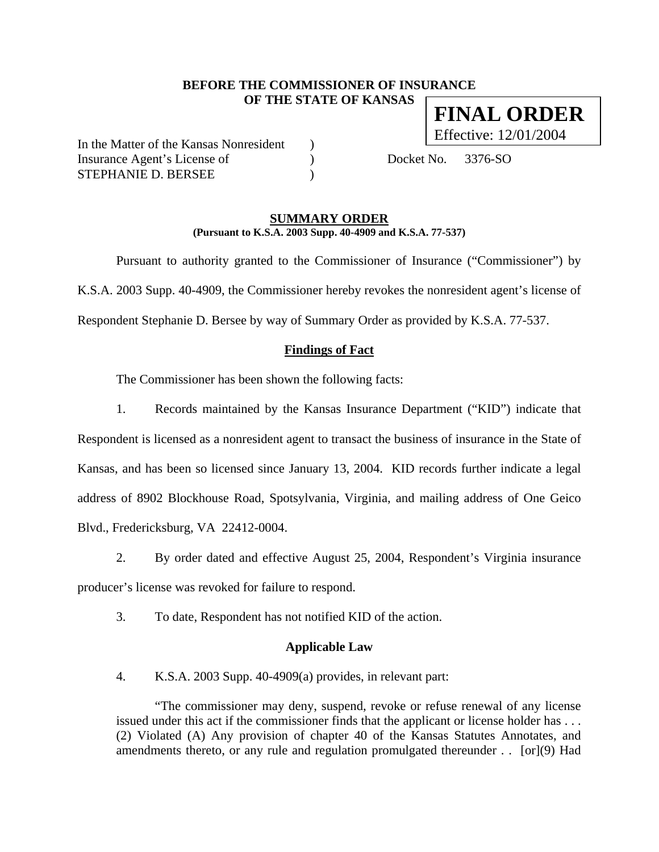### **BEFORE THE COMMISSIONER OF INSURANCE OF THE STATE OF KANSAS FINAL ORDER**

In the Matter of the Kansas Nonresident ) Insurance Agent's License of (a) Docket No. 3376-SO STEPHANIE D. BERSEE )

Effective: 12/01/2004

#### **SUMMARY ORDER (Pursuant to K.S.A. 2003 Supp. 40-4909 and K.S.A. 77-537)**

 Pursuant to authority granted to the Commissioner of Insurance ("Commissioner") by K.S.A. 2003 Supp. 40-4909, the Commissioner hereby revokes the nonresident agent's license of Respondent Stephanie D. Bersee by way of Summary Order as provided by K.S.A. 77-537.

# **Findings of Fact**

The Commissioner has been shown the following facts:

- 1. Records maintained by the Kansas Insurance Department ("KID") indicate that Respondent is licensed as a nonresident agent to transact the business of insurance in the State of Kansas, and has been so licensed since January 13, 2004. KID records further indicate a legal address of 8902 Blockhouse Road, Spotsylvania, Virginia, and mailing address of One Geico Blvd., Fredericksburg, VA 22412-0004.
- 2. By order dated and effective August 25, 2004, Respondent's Virginia insurance producer's license was revoked for failure to respond.
	- 3. To date, Respondent has not notified KID of the action.

# **Applicable Law**

4. K.S.A. 2003 Supp. 40-4909(a) provides, in relevant part:

"The commissioner may deny, suspend, revoke or refuse renewal of any license issued under this act if the commissioner finds that the applicant or license holder has . . . (2) Violated (A) Any provision of chapter 40 of the Kansas Statutes Annotates, and amendments thereto, or any rule and regulation promulgated thereunder . . [or](9) Had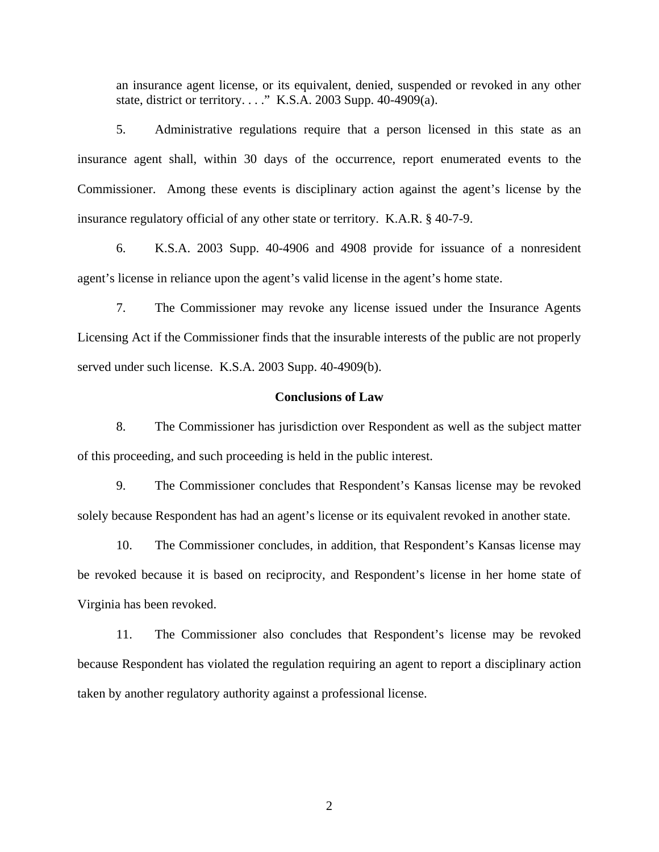an insurance agent license, or its equivalent, denied, suspended or revoked in any other state, district or territory. . . ." K.S.A. 2003 Supp. 40-4909(a).

5. Administrative regulations require that a person licensed in this state as an insurance agent shall, within 30 days of the occurrence, report enumerated events to the Commissioner. Among these events is disciplinary action against the agent's license by the insurance regulatory official of any other state or territory. K.A.R. § 40-7-9.

6. K.S.A. 2003 Supp. 40-4906 and 4908 provide for issuance of a nonresident agent's license in reliance upon the agent's valid license in the agent's home state.

7. The Commissioner may revoke any license issued under the Insurance Agents Licensing Act if the Commissioner finds that the insurable interests of the public are not properly served under such license. K.S.A. 2003 Supp. 40-4909(b).

#### **Conclusions of Law**

8. The Commissioner has jurisdiction over Respondent as well as the subject matter of this proceeding, and such proceeding is held in the public interest.

9. The Commissioner concludes that Respondent's Kansas license may be revoked solely because Respondent has had an agent's license or its equivalent revoked in another state.

10. The Commissioner concludes, in addition, that Respondent's Kansas license may be revoked because it is based on reciprocity, and Respondent's license in her home state of Virginia has been revoked.

11. The Commissioner also concludes that Respondent's license may be revoked because Respondent has violated the regulation requiring an agent to report a disciplinary action taken by another regulatory authority against a professional license.

2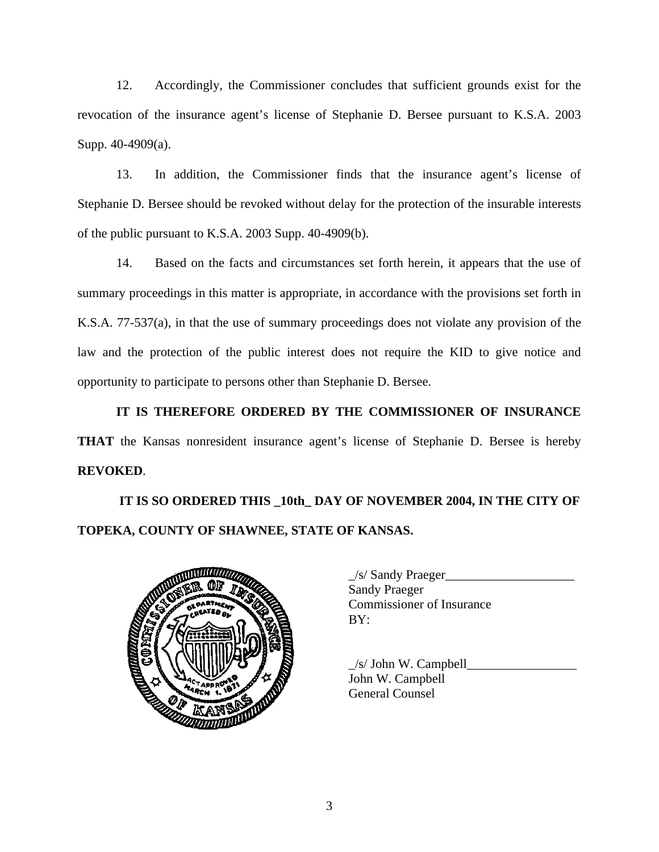12. Accordingly, the Commissioner concludes that sufficient grounds exist for the revocation of the insurance agent's license of Stephanie D. Bersee pursuant to K.S.A. 2003 Supp. 40-4909(a).

13. In addition, the Commissioner finds that the insurance agent's license of Stephanie D. Bersee should be revoked without delay for the protection of the insurable interests of the public pursuant to K.S.A. 2003 Supp. 40-4909(b).

14. Based on the facts and circumstances set forth herein, it appears that the use of summary proceedings in this matter is appropriate, in accordance with the provisions set forth in K.S.A. 77-537(a), in that the use of summary proceedings does not violate any provision of the law and the protection of the public interest does not require the KID to give notice and opportunity to participate to persons other than Stephanie D. Bersee.

**IT IS THEREFORE ORDERED BY THE COMMISSIONER OF INSURANCE THAT** the Kansas nonresident insurance agent's license of Stephanie D. Bersee is hereby **REVOKED**.

# **IT IS SO ORDERED THIS \_10th\_ DAY OF NOVEMBER 2004, IN THE CITY OF TOPEKA, COUNTY OF SHAWNEE, STATE OF KANSAS.**



| $\angle$ s/ Sandy Praeger        |
|----------------------------------|
| <b>Sandy Praeger</b>             |
| <b>Commissioner of Insurance</b> |
| BY:                              |

 $\angle$ s/ John W. Campbell $\Box$ John W. Campbell General Counsel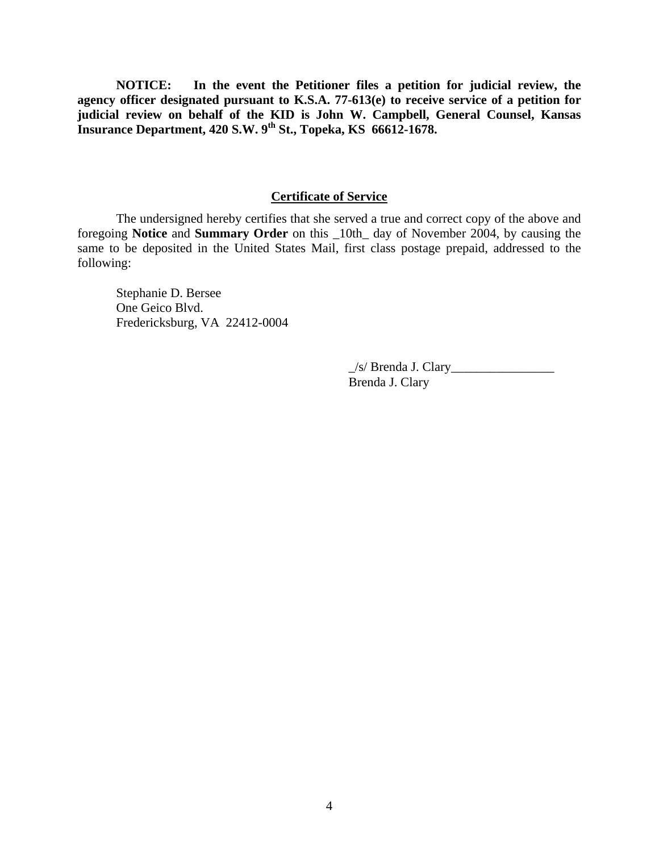**NOTICE: In the event the Petitioner files a petition for judicial review, the agency officer designated pursuant to K.S.A. 77-613(e) to receive service of a petition for judicial review on behalf of the KID is John W. Campbell, General Counsel, Kansas Insurance Department, 420 S.W. 9th St., Topeka, KS 66612-1678.** 

#### **Certificate of Service**

 The undersigned hereby certifies that she served a true and correct copy of the above and foregoing **Notice** and **Summary Order** on this \_10th\_ day of November 2004, by causing the same to be deposited in the United States Mail, first class postage prepaid, addressed to the following:

 Stephanie D. Bersee One Geico Blvd. Fredericksburg, VA 22412-0004

> $\angle$ s/ Brenda J. Clary Brenda J. Clary